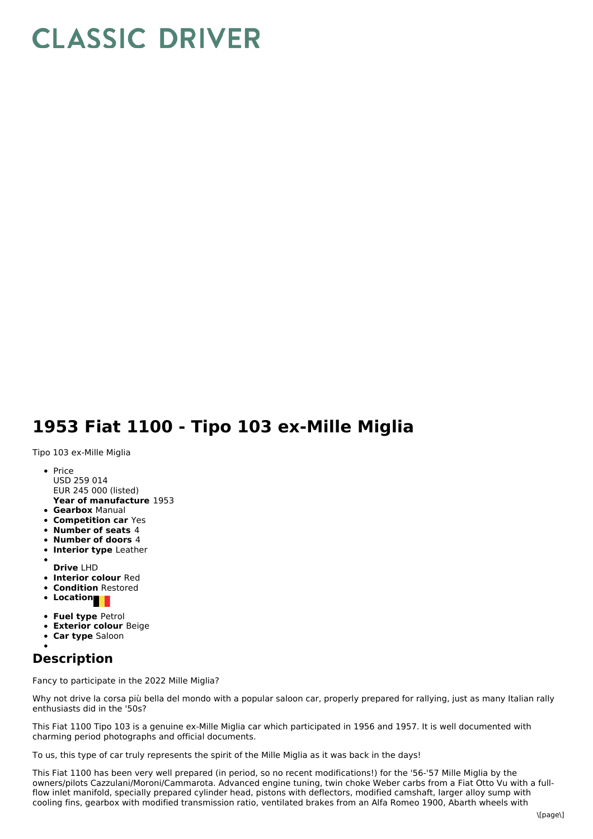## **CLASSIC DRIVER**

## **1953 Fiat 1100 - Tipo 103 ex-Mille Miglia**

Tipo 103 ex-Mille Miglia

- **Year of manufacture** 1953  $\bullet$  Price USD 259 014 EUR 245 000 (listed)
- **Gearbox** Manual
- **Competition car** Yes
- **Number of seats** 4
- **Number of doors** 4
- **Interior type** Leather
- **Drive** LHD
- **Interior colour** Red
- **Condition** Restored
- Location
- **Fuel type** Petrol
- **Exterior colour** Beige
- **Car type** Saloon

## **Description**

Fancy to participate in the 2022 Mille Miglia?

Why not drive la corsa più bella del mondo with a popular saloon car, properly prepared for rallying, just as many Italian rally enthusiasts did in the '50s?

This Fiat 1100 Tipo 103 is a genuine ex-Mille Miglia car which participated in 1956 and 1957. It is well documented with charming period photographs and official documents.

To us, this type of car truly represents the spirit of the Mille Miglia as it was back in the days!

This Fiat 1100 has been very well prepared (in period, so no recent modifications!) for the '56-'57 Mille Miglia by the owners/pilots Cazzulani/Moroni/Cammarota. Advanced engine tuning, twin choke Weber carbs from a Fiat Otto Vu with a fullflow inlet manifold, specially prepared cylinder head, pistons with deflectors, modified camshaft, larger alloy sump with cooling fins, gearbox with modified transmission ratio, ventilated brakes from an Alfa Romeo 1900, Abarth wheels with